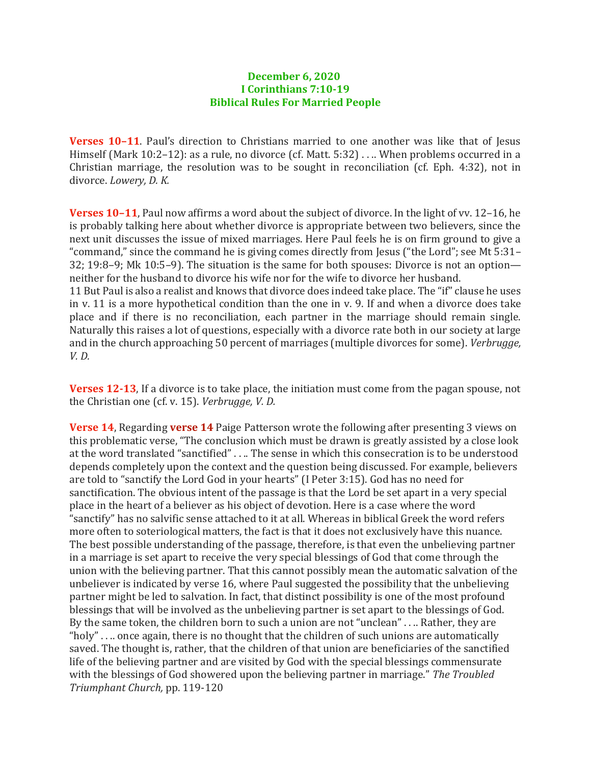## **December 6, 2020 I Corinthians 7:10-19 Biblical Rules For Married People**

**Verses 10–11**. Paul's direction to Christians married to one another was like that of Jesus Himself (Mark 10:2-12): as a rule, no divorce (cf. Matt. 5:32) . . .. When problems occurred in a Christian marriage, the resolution was to be sought in reconciliation (cf. Eph. 4:32), not in divorce. *Lowery, D. K.*

**Verses 10–11**, Paul now affirms a word about the subject of divorce. In the light of vv. 12–16, he is probably talking here about whether divorce is appropriate between two believers, since the next unit discusses the issue of mixed marriages. Here Paul feels he is on firm ground to give a "command," since the command he is giving comes directly from Jesus ("the Lord"; see Mt 5:31– 32; 19:8–9; Mk 10:5–9). The situation is the same for both spouses: Divorce is not an option neither for the husband to divorce his wife nor for the wife to divorce her husband. 11 But Paul is also a realist and knows that divorce does indeed take place. The "if" clause he uses

in v. 11 is a more hypothetical condition than the one in v. 9. If and when a divorce does take place and if there is no reconciliation, each partner in the marriage should remain single. Naturally this raises a lot of questions, especially with a divorce rate both in our society at large and in the church approaching 50 percent of marriages (multiple divorces for some). *Verbrugge, V. D.*

**Verses 12-13**, If a divorce is to take place, the initiation must come from the pagan spouse, not the Christian one (cf. v. 15). *Verbrugge, V. D.*

**Verse 14**, Regarding **verse 14** Paige Patterson wrote the following after presenting 3 views on this problematic verse, "The conclusion which must be drawn is greatly assisted by a close look at the word translated "sanctified" . . .. The sense in which this consecration is to be understood depends completely upon the context and the question being discussed. For example, believers are told to "sanctify the Lord God in your hearts" (I Peter 3:15). God has no need for sanctification. The obvious intent of the passage is that the Lord be set apart in a very special place in the heart of a believer as his object of devotion. Here is a case where the word "sanctify" has no salvific sense attached to it at all. Whereas in biblical Greek the word refers more often to soteriological matters, the fact is that it does not exclusively have this nuance. The best possible understanding of the passage, therefore, is that even the unbelieving partner in a marriage is set apart to receive the very special blessings of God that come through the union with the believing partner. That this cannot possibly mean the automatic salvation of the unbeliever is indicated by verse 16, where Paul suggested the possibility that the unbelieving partner might be led to salvation. In fact, that distinct possibility is one of the most profound blessings that will be involved as the unbelieving partner is set apart to the blessings of God. By the same token, the children born to such a union are not "unclean" . . .. Rather, they are "holy" . . .. once again, there is no thought that the children of such unions are automatically saved. The thought is, rather, that the children of that union are beneficiaries of the sanctified life of the believing partner and are visited by God with the special blessings commensurate with the blessings of God showered upon the believing partner in marriage." *The Troubled Triumphant Church,* pp. 119-120